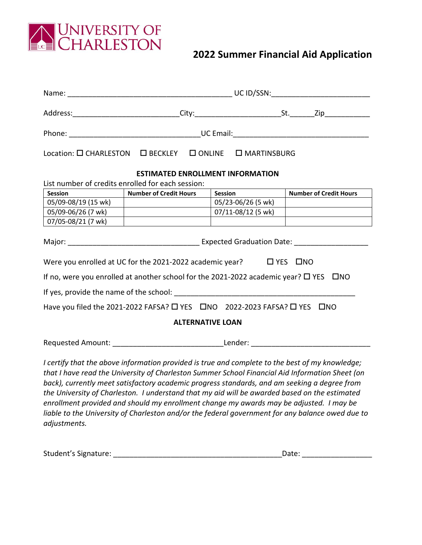

## **2022 Summer Financial Aid Application**

|                         | Location: O CHARLESTON  O BECKLEY  O ONLINE  O MARTINSBURG                                                                                                                                                                                                                                                                                                                                                                                                                                                                                                                                         |                    |                               |  |
|-------------------------|----------------------------------------------------------------------------------------------------------------------------------------------------------------------------------------------------------------------------------------------------------------------------------------------------------------------------------------------------------------------------------------------------------------------------------------------------------------------------------------------------------------------------------------------------------------------------------------------------|--------------------|-------------------------------|--|
|                         | <b>ESTIMATED ENROLLMENT INFORMATION</b>                                                                                                                                                                                                                                                                                                                                                                                                                                                                                                                                                            |                    |                               |  |
|                         | List number of credits enrolled for each session:                                                                                                                                                                                                                                                                                                                                                                                                                                                                                                                                                  |                    |                               |  |
| <b>Session</b>          | <b>Number of Credit Hours</b>                                                                                                                                                                                                                                                                                                                                                                                                                                                                                                                                                                      | <b>Session</b>     | <b>Number of Credit Hours</b> |  |
| 05/09-08/19 (15 wk)     |                                                                                                                                                                                                                                                                                                                                                                                                                                                                                                                                                                                                    | 05/23-06/26 (5 wk) |                               |  |
| 05/09-06/26 (7 wk)      |                                                                                                                                                                                                                                                                                                                                                                                                                                                                                                                                                                                                    | 07/11-08/12 (5 wk) |                               |  |
| 07/05-08/21 (7 wk)      |                                                                                                                                                                                                                                                                                                                                                                                                                                                                                                                                                                                                    |                    |                               |  |
|                         |                                                                                                                                                                                                                                                                                                                                                                                                                                                                                                                                                                                                    |                    |                               |  |
|                         | Were you enrolled at UC for the 2021-2022 academic year?<br><u> </u> YES<br><u> </u>                                                                                                                                                                                                                                                                                                                                                                                                                                                                                                               |                    |                               |  |
|                         | If no, were you enrolled at another school for the 2021-2022 academic year? $\Box$ YES $\Box$ NO                                                                                                                                                                                                                                                                                                                                                                                                                                                                                                   |                    |                               |  |
|                         |                                                                                                                                                                                                                                                                                                                                                                                                                                                                                                                                                                                                    |                    |                               |  |
|                         | Have you filed the 2021-2022 FAFSA? O YES ONO 2022-2023 FAFSA? O YES ONO                                                                                                                                                                                                                                                                                                                                                                                                                                                                                                                           |                    |                               |  |
| <b>ALTERNATIVE LOAN</b> |                                                                                                                                                                                                                                                                                                                                                                                                                                                                                                                                                                                                    |                    |                               |  |
|                         |                                                                                                                                                                                                                                                                                                                                                                                                                                                                                                                                                                                                    |                    |                               |  |
| adjustments.            | I certify that the above information provided is true and complete to the best of my knowledge;<br>that I have read the University of Charleston Summer School Financial Aid Information Sheet (on<br>back), currently meet satisfactory academic progress standards, and am seeking a degree from<br>the University of Charleston. I understand that my aid will be awarded based on the estimated<br>enrollment provided and should my enrollment change my awards may be adjusted. I may be<br>liable to the University of Charleston and/or the federal government for any balance owed due to |                    |                               |  |

| Student's Signature: | Date: |
|----------------------|-------|
|                      |       |